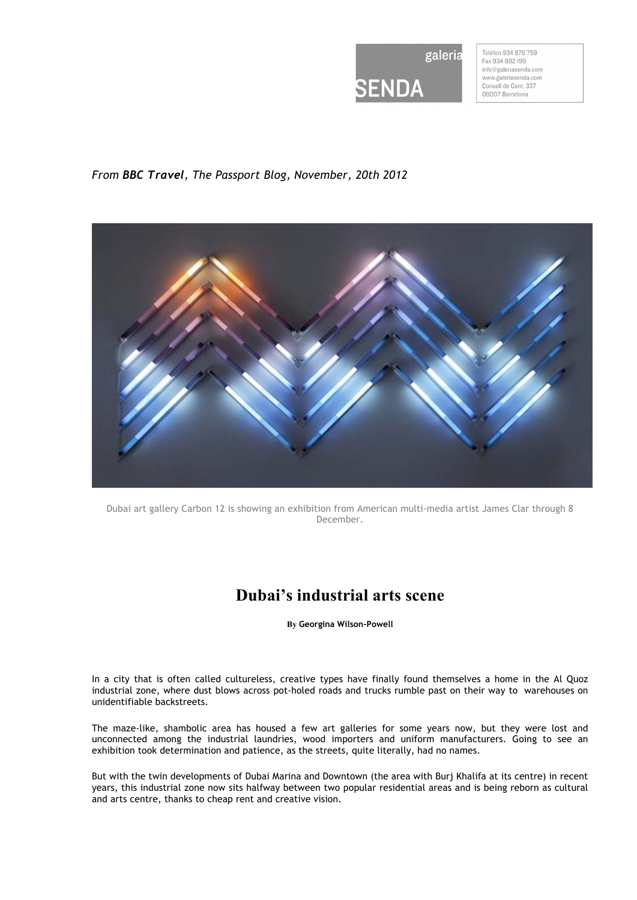

Telèfon 934 876 759 Fax 934 882 199 info@galeriasenda.com www.galeriasenda.com Consell de Cent, 337 08007 Barcelona

## *From BBC Travel, The Passport Blog, November, 20th 2012*



Dubai art gallery Carbon 12 is showing an exhibition from American multi-media artist James Clar through 8 December.

## **Dubai's industrial arts scene**

**By Georgina Wilson-Powell**

In a city that is often called cultureless, creative types have finally found themselves a home in the Al Quoz industrial zone, where dust blows across pot-holed roads and trucks rumble past on their way to warehouses on unidentifiable backstreets.

The maze-like, shambolic area has housed a few art galleries for some years now, but they were lost and unconnected among the industrial laundries, wood importers and uniform manufacturers. Going to see an exhibition took determination and patience, as the streets, quite literally, had no names.

But with the twin developments of Dubai Marina and Downtown (the area with Burj Khalifa at its centre) in recent years, this industrial zone now sits halfway between two popular residential areas and is being reborn as cultural and arts centre, thanks to cheap rent and creative vision.